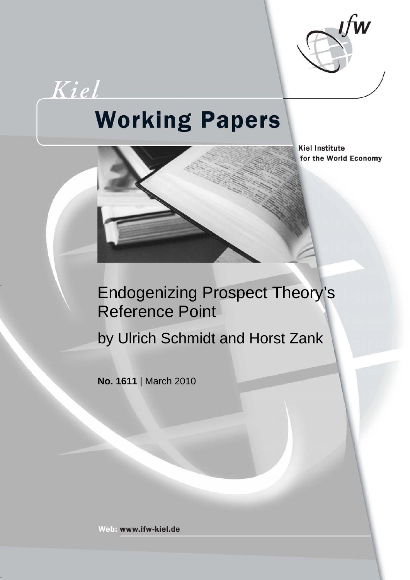

# Kiel **Working Papers**



**Kiel Institute** for the World Economy

### Endogenizing Prospect Theory's Reference Point

by Ulrich Schmidt and Horst Zank

**No. 1611** | March 2010

Web: www.ifw-kiel.de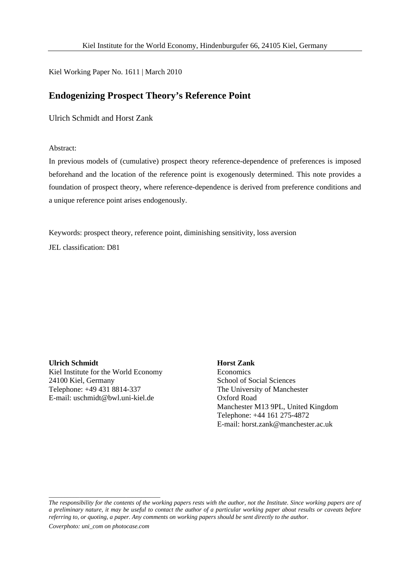Kiel Working Paper No. 1611 | March 2010

#### **Endogenizing Prospect Theory's Reference Point**

Ulrich Schmidt and Horst Zank

Abstract:

In previous models of (cumulative) prospect theory reference-dependence of preferences is imposed beforehand and the location of the reference point is exogenously determined. This note provides a foundation of prospect theory, where reference-dependence is derived from preference conditions and a unique reference point arises endogenously.

Keywords: prospect theory, reference point, diminishing sensitivity, loss aversion

JEL classification: D81

**Ulrich Schmidt**  Kiel Institute for the World Economy 24100 Kiel, Germany Telephone: +49 431 8814-337 E-mail: uschmidt@bwl.uni-kiel.de

#### **Horst Zank**

**Economics** School of Social Sciences The University of Manchester Oxford Road Manchester M13 9PL, United Kingdom Telephone: +44 161 275-4872 E-mail: horst.zank@manchester.ac.uk

*The responsibility for the contents of the working papers rests with the author, not the Institute. Since working papers are of a preliminary nature, it may be useful to contact the author of a particular working paper about results or caveats before referring to, or quoting, a paper. Any comments on working papers should be sent directly to the author.* 

*Coverphoto: uni\_com on photocase.com* 

\_\_\_\_\_\_\_\_\_\_\_\_\_\_\_\_\_\_\_\_\_\_\_\_\_\_\_\_\_\_\_\_\_\_\_\_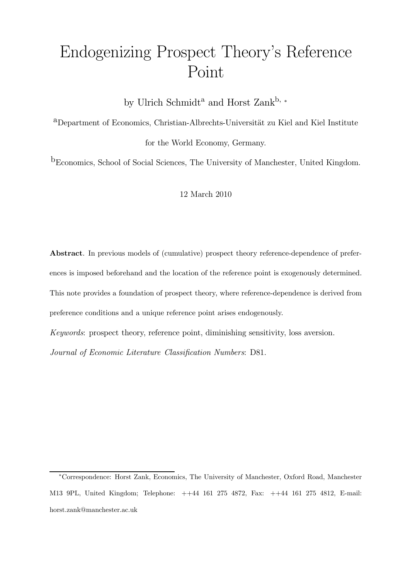## Endogenizing Prospect Theory's Reference Point

by Ulrich Schmidt<sup>a</sup> and Horst Zank<sup>b,</sup> <sup>∗</sup>

<sup>a</sup>Department of Economics, Christian-Albrechts-Universität zu Kiel and Kiel Institute

for the World Economy, Germany.

bEconomics, School of Social Sciences, The University of Manchester, United Kingdom.

12 March 2010

Abstract. In previous models of (cumulative) prospect theory reference-dependence of preferences is imposed beforehand and the location of the reference point is exogenously determined. This note provides a foundation of prospect theory, where reference-dependence is derived from preference conditions and a unique reference point arises endogenously.

Keywords: prospect theory, reference point, diminishing sensitivity, loss aversion.

Journal of Economic Literature Classification Numbers: D81.

<sup>∗</sup>Correspondence: Horst Zank, Economics, The University of Manchester, Oxford Road, Manchester M13 9PL, United Kingdom; Telephone: ++44 161 275 4872, Fax: ++44 161 275 4812, E-mail: horst.zank@manchester.ac.uk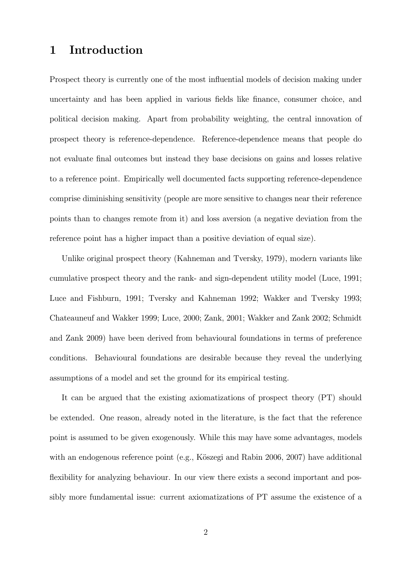#### 1 Introduction

Prospect theory is currently one of the most influential models of decision making under uncertainty and has been applied in various fields like finance, consumer choice, and political decision making. Apart from probability weighting, the central innovation of prospect theory is reference-dependence. Reference-dependence means that people do not evaluate final outcomes but instead they base decisions on gains and losses relative to a reference point. Empirically well documented facts supporting reference-dependence comprise diminishing sensitivity (people are more sensitive to changes near their reference points than to changes remote from it) and loss aversion (a negative deviation from the reference point has a higher impact than a positive deviation of equal size).

Unlike original prospect theory (Kahneman and Tversky, 1979), modern variants like cumulative prospect theory and the rank- and sign-dependent utility model (Luce, 1991; Luce and Fishburn, 1991; Tversky and Kahneman 1992; Wakker and Tversky 1993; Chateauneuf and Wakker 1999; Luce, 2000; Zank, 2001; Wakker and Zank 2002; Schmidt and Zank 2009) have been derived from behavioural foundations in terms of preference conditions. Behavioural foundations are desirable because they reveal the underlying assumptions of a model and set the ground for its empirical testing.

It can be argued that the existing axiomatizations of prospect theory (PT) should be extended. One reason, already noted in the literature, is the fact that the reference point is assumed to be given exogenously. While this may have some advantages, models with an endogenous reference point (e.g., Köszegi and Rabin 2006, 2007) have additional flexibility for analyzing behaviour. In our view there exists a second important and possibly more fundamental issue: current axiomatizations of PT assume the existence of a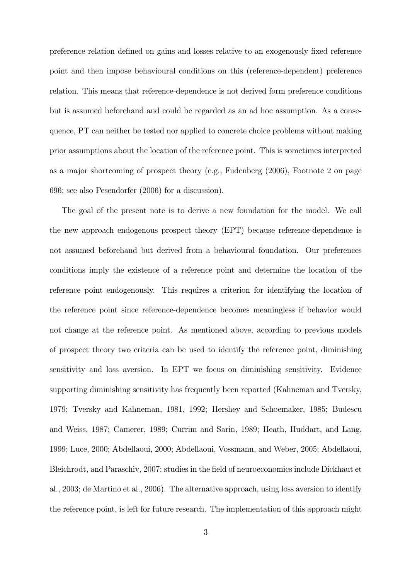preference relation defined on gains and losses relative to an exogenously fixed reference point and then impose behavioural conditions on this (reference-dependent) preference relation. This means that reference-dependence is not derived form preference conditions but is assumed beforehand and could be regarded as an ad hoc assumption. As a consequence, PT can neither be tested nor applied to concrete choice problems without making prior assumptions about the location of the reference point. This is sometimes interpreted as a major shortcoming of prospect theory (e.g., Fudenberg (2006), Footnote 2 on page 696; see also Pesendorfer (2006) for a discussion).

The goal of the present note is to derive a new foundation for the model. We call the new approach endogenous prospect theory (EPT) because reference-dependence is not assumed beforehand but derived from a behavioural foundation. Our preferences conditions imply the existence of a reference point and determine the location of the reference point endogenously. This requires a criterion for identifying the location of the reference point since reference-dependence becomes meaningless if behavior would not change at the reference point. As mentioned above, according to previous models of prospect theory two criteria can be used to identify the reference point, diminishing sensitivity and loss aversion. In EPT we focus on diminishing sensitivity. Evidence supporting diminishing sensitivity has frequently been reported (Kahneman and Tversky, 1979; Tversky and Kahneman, 1981, 1992; Hershey and Schoemaker, 1985; Budescu and Weiss, 1987; Camerer, 1989; Currim and Sarin, 1989; Heath, Huddart, and Lang, 1999; Luce, 2000; Abdellaoui, 2000; Abdellaoui, Vossmann, and Weber, 2005; Abdellaoui, Bleichrodt, and Paraschiv, 2007; studies in the field of neuroeconomics include Dickhaut et al., 2003; de Martino et al., 2006). The alternative approach, using loss aversion to identify the reference point, is left for future research. The implementation of this approach might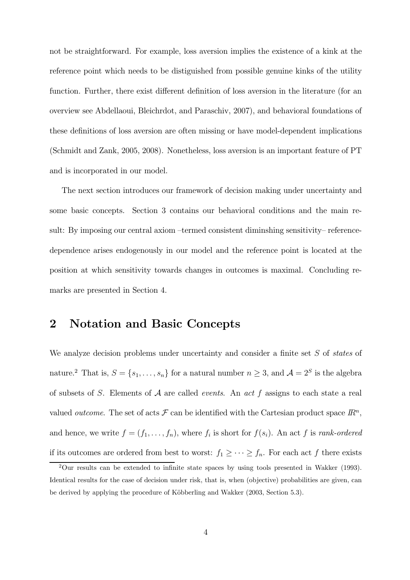not be straightforward. For example, loss aversion implies the existence of a kink at the reference point which needs to be distiguished from possible genuine kinks of the utility function. Further, there exist different definition of loss aversion in the literature (for an overview see Abdellaoui, Bleichrdot, and Paraschiv, 2007), and behavioral foundations of these definitions of loss aversion are often missing or have model-dependent implications (Schmidt and Zank, 2005, 2008). Nonetheless, loss aversion is an important feature of PT and is incorporated in our model.

The next section introduces our framework of decision making under uncertainty and some basic concepts. Section 3 contains our behavioral conditions and the main result: By imposing our central axiom —termed consistent diminshing sensitivity— referencedependence arises endogenously in our model and the reference point is located at the position at which sensitivity towards changes in outcomes is maximal. Concluding remarks are presented in Section 4.

#### 2 Notation and Basic Concepts

We analyze decision problems under uncertainty and consider a finite set  $S$  of states of nature.<sup>2</sup> That is,  $S = \{s_1, \ldots, s_n\}$  for a natural number  $n \geq 3$ , and  $\mathcal{A} = 2^S$  is the algebra of subsets of S. Elements of  $A$  are called *events*. An act  $f$  assigns to each state a real valued *outcome*. The set of acts  $\mathcal F$  can be identified with the Cartesian product space  $\mathbb R^n$ . and hence, we write  $f = (f_1, \ldots, f_n)$ , where  $f_i$  is short for  $f(s_i)$ . An act f is rank-ordered if its outcomes are ordered from best to worst:  $f_1 \geq \cdots \geq f_n$ . For each act f there exists

 $2$ Our results can be extended to infinite state spaces by using tools presented in Wakker (1993). Identical results for the case of decision under risk, that is, when (objective) probabilities are given, can be derived by applying the procedure of Köbberling and Wakker (2003, Section 5.3).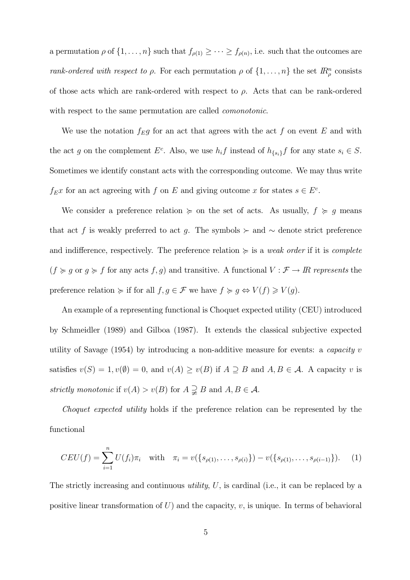a permutation  $\rho$  of  $\{1, \ldots, n\}$  such that  $f_{\rho(1)} \geq \cdots \geq f_{\rho(n)}$ , i.e. such that the outcomes are rank-ordered with respect to  $\rho$ . For each permutation  $\rho$  of  $\{1, \ldots, n\}$  the set  $\mathbb{R}^n_\rho$  consists of those acts which are rank-ordered with respect to  $\rho$ . Acts that can be rank-ordered with respect to the same permutation are called *comonotonic*.

We use the notation  $f_{E}g$  for an act that agrees with the act f on event E and with the act g on the complement  $E^c$ . Also, we use  $h_i f$  instead of  $h_{\{s_i\}} f$  for any state  $s_i \in S$ . Sometimes we identify constant acts with the corresponding outcome. We may thus write  $f_{E}x$  for an act agreeing with  $f$  on  $E$  and giving outcome  $x$  for states  $s \in E^{c}$ .

We consider a preference relation  $\succcurlyeq$  on the set of acts. As usually,  $f \succcurlyeq g$  means that act f is weakly preferred to act g. The symbols ≻ and  $\sim$  denote strict preference and indifference, respectively. The preference relation  $\succeq$  is a *weak order* if it is *complete*  $(f \succcurlyeq g$  or  $g \succcurlyeq f$  for any acts  $f, g$ ) and transitive. A functional  $V : \mathcal{F} \to \mathbb{R}$  represents the preference relation  $\succcurlyeq$  if for all  $f, g \in \mathcal{F}$  we have  $f \succcurlyeq g \Leftrightarrow V(f) \geqslant V(g)$ .

An example of a representing functional is Choquet expected utility (CEU) introduced by Schmeidler (1989) and Gilboa (1987). It extends the classical subjective expected utility of Savage  $(1954)$  by introducing a non-additive measure for events: a *capacity v* satisfies  $v(S) = 1$ ,  $v(\emptyset) = 0$ , and  $v(A) \ge v(B)$  if  $A \supseteq B$  and  $A, B \in \mathcal{A}$ . A capacity v is strictly monotonic if  $v(A) > v(B)$  for  $A \supsetneq B$  and  $A, B \in \mathcal{A}$ .

Choquet expected utility holds if the preference relation can be represented by the functional

$$
CEU(f) = \sum_{i=1}^{n} U(f_i)\pi_i \quad \text{with} \quad \pi_i = v(\{s_{\rho(1)}, \dots, s_{\rho(i)}\}) - v(\{s_{\rho(1)}, \dots, s_{\rho(i-1)}\}). \tag{1}
$$

The strictly increasing and continuous *utility*,  $U$ , is cardinal (i.e., it can be replaced by a positive linear transformation of  $U$ ) and the capacity,  $v$ , is unique. In terms of behavioral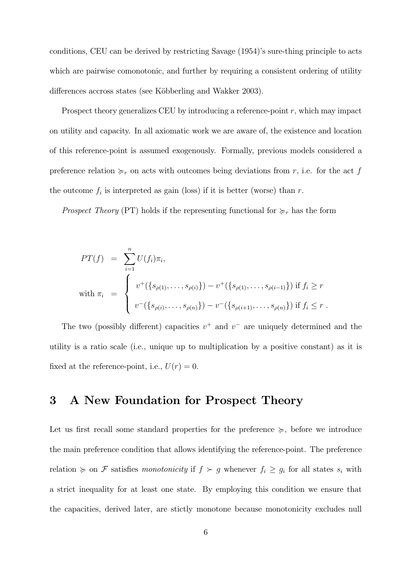conditions, CEU can be derived by restricting Savage (1954)'s sure-thing principle to acts which are pairwise comonotonic, and further by requiring a consistent ordering of utility differences accross states (see Köbberling and Wakker 2003).

Prospect theory generalizes CEU by introducing a reference-point  $r$ , which may impact on utility and capacity. In all axiomatic work we are aware of, the existence and location of this reference-point is assumed exogenously. Formally, previous models considered a preference relation  $\succcurlyeq_r$  on acts with outcomes being deviations from r, i.e. for the act f the outcome  $f_i$  is interpreted as gain (loss) if it is better (worse) than  $r$ .

*Prospect Theory* (PT) holds if the representing functional for  $\succcurlyeq_r$  has the form

$$
PT(f) = \sum_{i=1}^{n} U(f_i) \pi_i,
$$
  
with  $\pi_i = \begin{cases} v^+(\{s_{\rho(1)}, \ldots, s_{\rho(i)}\}) - v^+(\{s_{\rho(1)}, \ldots, s_{\rho(i-1)}\}) & \text{if } f_i \ge r \\ v^-(\{s_{\rho(i)}, \ldots, s_{\rho(n)}\}) - v^-(\{s_{\rho(i+1)}, \ldots, s_{\rho(n)}\}) & \text{if } f_i \le r \end{cases}$ .

The two (possibly different) capacities  $v^+$  and  $v^-$  are uniquely determined and the utility is a ratio scale (i.e., unique up to multiplication by a positive constant) as it is fixed at the reference-point, i.e.,  $U(r) = 0$ .

#### 3 A New Foundation for Prospect Theory

Let us first recall some standard properties for the preference  $\succeq$ , before we introduce the main preference condition that allows identifying the reference-point. The preference relation  $\succcurlyeq$  on F satisfies monotonicity if  $f \succ g$  whenever  $f_i \ge g_i$  for all states  $s_i$  with a strict inequality for at least one state. By employing this condition we ensure that the capacities, derived later, are stictly monotone because monotonicity excludes null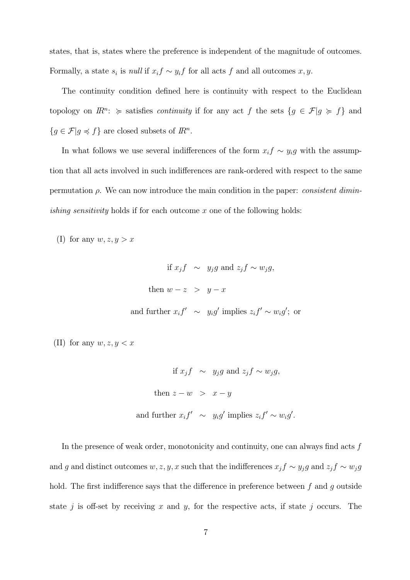states, that is, states where the preference is independent of the magnitude of outcomes. Formally, a state  $s_i$  is *null* if  $x_i f \sim y_i f$  for all acts f and all outcomes  $x, y$ .

The continuity condition defined here is continuity with respect to the Euclidean topology on  $\mathbb{R}^n$ :  $\succcurlyeq$  satisfies *continuity* if for any act  $f$  the sets  $\{g \in \mathcal{F} | g \succcurlyeq f\}$  and  ${g \in \mathcal{F} | g \preccurlyeq f}$  are closed subsets of  $\mathbb{R}^n$ .

In what follows we use several indifferences of the form  $x_i f \sim y_i g$  with the assumption that all acts involved in such indifferences are rank-ordered with respect to the same permutation  $\rho$ . We can now introduce the main condition in the paper: *consistent diminishing sensitivity* holds if for each outcome  $x$  one of the following holds:

(I) for any  $w, z, y > x$ 

if 
$$
x_j f \sim y_j g
$$
 and  $z_j f \sim w_j g$ ,  
\nthen  $w - z > y - x$   
\nand further  $x_i f' \sim y_i g'$  implies  $z_i f' \sim w_i g'$ ; or

(II) for any  $w, z, y < x$ 

if  $x_j f \sim y_j g$  and  $z_j f \sim w_j g$ , then  $z - w > x - y$ and further  $x_i f' \sim y_i g'$  implies  $z_i f' \sim w_i g'$ .

In the presence of weak order, monotonicity and continuity, one can always find acts  $f$ and g and distinct outcomes  $w, z, y, x$  such that the indifferences  $x_j f \sim y_j g$  and  $z_j f \sim w_j g$ hold. The first indifference says that the difference in preference between  $f$  and  $q$  outside state  $j$  is off-set by receiving  $x$  and  $y$ , for the respective acts, if state  $j$  occurs. The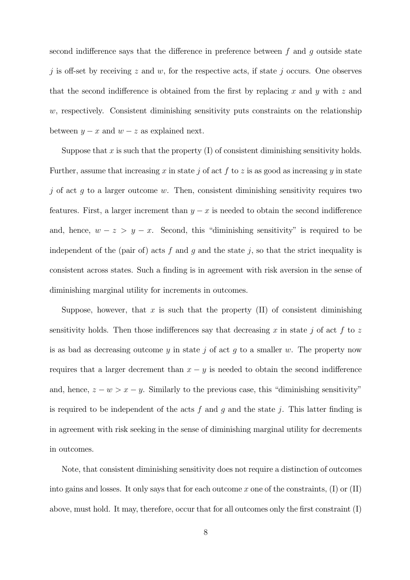second indifference says that the difference in preference between  $f$  and  $g$  outside state j is off-set by receiving  $z$  and  $w$ , for the respective acts, if state j occurs. One observes that the second indifference is obtained from the first by replacing  $x$  and  $y$  with  $z$  and  $w$ , respectively. Consistent diminishing sensitivity puts constraints on the relationship between  $y - x$  and  $w - z$  as explained next.

Suppose that x is such that the property  $(I)$  of consistent diminishing sensitivity holds. Further, assume that increasing x in state j of act f to z is as good as increasing y in state j of act  $g$  to a larger outcome  $w$ . Then, consistent diminishing sensitivity requires two features. First, a larger increment than  $y - x$  is needed to obtain the second indifference and, hence,  $w - z > y - x$ . Second, this "diminishing sensitivity" is required to be independent of the (pair of) acts  $f$  and  $g$  and the state  $j$ , so that the strict inequality is consistent across states. Such a finding is in agreement with risk aversion in the sense of diminishing marginal utility for increments in outcomes.

Suppose, however, that  $x$  is such that the property (II) of consistent diminishing sensitivity holds. Then those indifferences say that decreasing  $x$  in state  $j$  of act  $f$  to  $z$ is as bad as decreasing outcome  $y$  in state  $j$  of act  $g$  to a smaller  $w$ . The property now requires that a larger decrement than  $x - y$  is needed to obtain the second indifference and, hence,  $z - w > x - y$ . Similarly to the previous case, this "diminishing sensitivity" is required to be independent of the acts  $f$  and  $g$  and the state  $j$ . This latter finding is in agreement with risk seeking in the sense of diminishing marginal utility for decrements in outcomes.

Note, that consistent diminishing sensitivity does not require a distinction of outcomes into gains and losses. It only says that for each outcome  $x$  one of the constraints, (I) or (II) above, must hold. It may, therefore, occur that for all outcomes only the first constraint (I)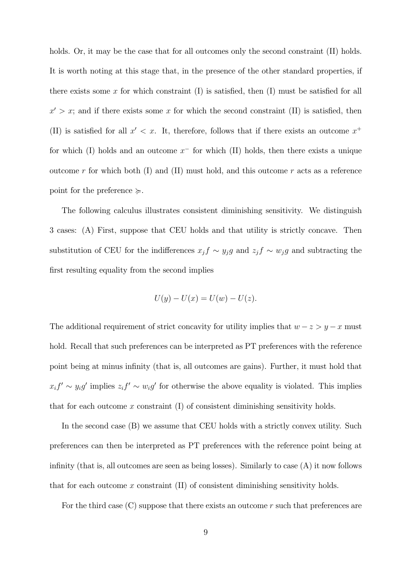holds. Or, it may be the case that for all outcomes only the second constraint (II) holds. It is worth noting at this stage that, in the presence of the other standard properties, if there exists some  $x$  for which constraint (I) is satisfied, then (I) must be satisfied for all  $x' > x$ ; and if there exists some x for which the second constraint (II) is satisfied, then (II) is satisfied for all  $x' < x$ . It, therefore, follows that if there exists an outcome  $x^+$ for which (I) holds and an outcome  $x^-$  for which (II) holds, then there exists a unique outcome  $r$  for which both (I) and (II) must hold, and this outcome  $r$  acts as a reference point for the preference  $\succeq$ .

The following calculus illustrates consistent diminishing sensitivity. We distinguish 3 cases: (A) First, suppose that CEU holds and that utility is strictly concave. Then substitution of CEU for the indifferences  $x_j f \sim y_j g$  and  $z_j f \sim w_j g$  and subtracting the first resulting equality from the second implies

$$
U(y) - U(x) = U(w) - U(z).
$$

The additional requirement of strict concavity for utility implies that  $w - z > y - x$  must hold. Recall that such preferences can be interpreted as PT preferences with the reference point being at minus infinity (that is, all outcomes are gains). Further, it must hold that  $x_i f' \sim y_i g'$  implies  $z_i f' \sim w_i g'$  for otherwise the above equality is violated. This implies that for each outcome  $x$  constraint  $(I)$  of consistent diminishing sensitivity holds.

In the second case (B) we assume that CEU holds with a strictly convex utility. Such preferences can then be interpreted as PT preferences with the reference point being at infinity (that is, all outcomes are seen as being losses). Similarly to case (A) it now follows that for each outcome  $x$  constraint (II) of consistent diminishing sensitivity holds.

For the third case  $(C)$  suppose that there exists an outcome r such that preferences are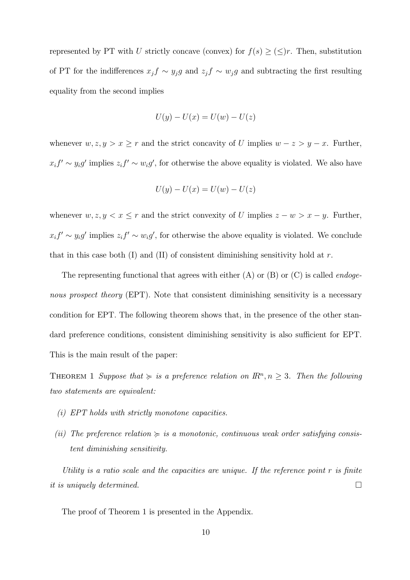represented by PT with U strictly concave (convex) for  $f(s) \geq (\leq)r$ . Then, substitution of PT for the indifferences  $x_j f \sim y_j g$  and  $z_j f \sim w_j g$  and subtracting the first resulting equality from the second implies

$$
U(y) - U(x) = U(w) - U(z)
$$

whenever  $w, z, y > x \geq r$  and the strict concavity of U implies  $w - z > y - x$ . Further,  $x_i f' \sim y_i g'$  implies  $z_i f' \sim w_i g'$ , for otherwise the above equality is violated. We also have

$$
U(y) - U(x) = U(w) - U(z)
$$

whenever  $w, z, y < x \leq r$  and the strict convexity of U implies  $z - w > x - y$ . Further,  $x_i f' \sim y_i g'$  implies  $z_i f' \sim w_i g'$ , for otherwise the above equality is violated. We conclude that in this case both  $(I)$  and  $(II)$  of consistent diminishing sensitivity hold at r.

The representing functional that agrees with either  $(A)$  or  $(B)$  or  $(C)$  is called *endoge*nous prospect theory (EPT). Note that consistent diminishing sensitivity is a necessary condition for EPT. The following theorem shows that, in the presence of the other standard preference conditions, consistent diminishing sensitivity is also sufficient for EPT. This is the main result of the paper:

THEOREM 1 Suppose that  $\succeq$  is a preference relation on  $\mathbb{R}^n, n \geq 3$ . Then the following two statements are equivalent:

- (i) EPT holds with strictly monotone capacities.
- (ii) The preference relation  $\succeq$  is a monotonic, continuous weak order satisfying consistent diminishing sensitivity.

Utility is a ratio scale and the capacities are unique. If the reference point  $r$  is finite it is uniquely determined.  $\Box$ 

The proof of Theorem 1 is presented in the Appendix.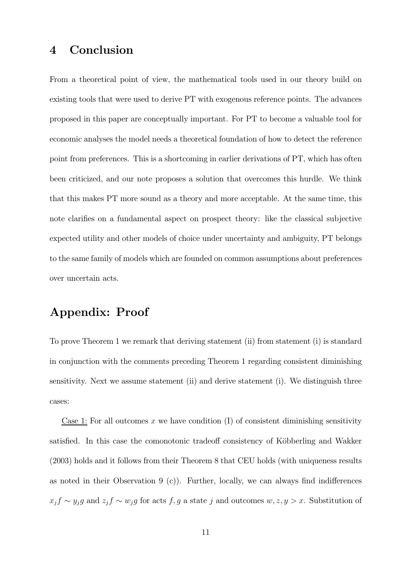#### 4 Conclusion

From a theoretical point of view, the mathematical tools used in our theory build on existing tools that were used to derive PT with exogenous reference points. The advances proposed in this paper are conceptually important. For PT to become a valuable tool for economic analyses the model needs a theoretical foundation of how to detect the reference point from preferences. This is a shortcoming in earlier derivations of PT, which has often been criticized, and our note proposes a solution that overcomes this hurdle. We think that this makes PT more sound as a theory and more acceptable. At the same time, this note clarifies on a fundamental aspect on prospect theory: like the classical subjective expected utility and other models of choice under uncertainty and ambiguity, PT belongs to the same family of models which are founded on common assumptions about preferences over uncertain acts.

### Appendix: Proof

To prove Theorem 1 we remark that deriving statement (ii) from statement (i) is standard in conjunction with the comments preceding Theorem 1 regarding consistent diminishing sensitivity. Next we assume statement (ii) and derive statement (i). We distinguish three cases:

Case 1: For all outcomes  $x$  we have condition (I) of consistent diminishing sensitivity satisfied. In this case the comonotonic tradeoff consistency of Köbberling and Wakker (2003) holds and it follows from their Theorem 8 that CEU holds (with uniqueness results as noted in their Observation 9  $(c)$ ). Further, locally, we can always find indifferences  $x_j f \sim y_j g$  and  $z_j f \sim w_j g$  for acts  $f, g$  a state  $j$  and outcomes  $w, z, y > x$ . Substitution of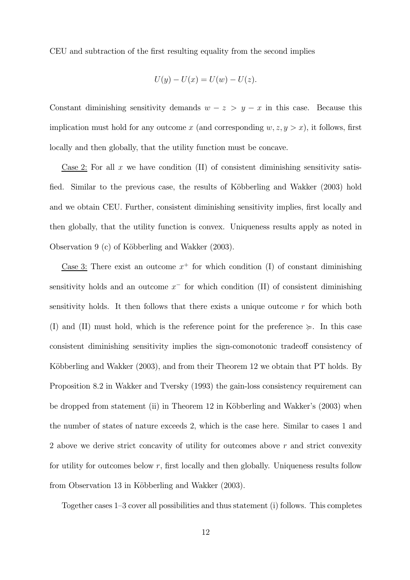CEU and subtraction of the first resulting equality from the second implies

$$
U(y) - U(x) = U(w) - U(z).
$$

Constant diminishing sensitivity demands  $w - z > y - x$  in this case. Because this implication must hold for any outcome x (and corresponding  $w, z, y > x$ ), it follows, first locally and then globally, that the utility function must be concave.

Case 2: For all  $x$  we have condition (II) of consistent diminishing sensitivity satisfied. Similar to the previous case, the results of Köbberling and Wakker (2003) hold and we obtain CEU. Further, consistent diminishing sensitivity implies, first locally and then globally, that the utility function is convex. Uniqueness results apply as noted in Observation 9 (c) of Köbberling and Wakker (2003).

Case 3: There exist an outcome  $x^+$  for which condition (I) of constant diminishing sensitivity holds and an outcome  $x^-$  for which condition (II) of consistent diminishing sensitivity holds. It then follows that there exists a unique outcome  $r$  for which both (I) and (II) must hold, which is the reference point for the preference  $\succeq$ . In this case consistent diminishing sensitivity implies the sign-comonotonic tradeoff consistency of Köbberling and Wakker (2003), and from their Theorem 12 we obtain that PT holds. By Proposition 8.2 in Wakker and Tversky (1993) the gain-loss consistency requirement can be dropped from statement (ii) in Theorem 12 in Köbberling and Wakker's (2003) when the number of states of nature exceeds 2, which is the case here. Similar to cases 1 and 2 above we derive strict concavity of utility for outcomes above  $r$  and strict convexity for utility for outcomes below  $r$ , first locally and then globally. Uniqueness results follow from Observation 13 in Köbberling and Wakker (2003).

Together cases 1—3 cover all possibilities and thus statement (i) follows. This completes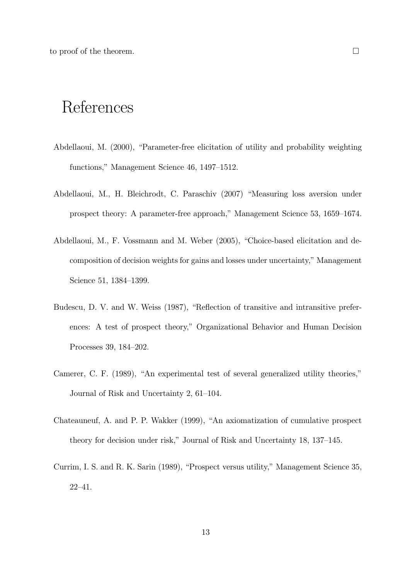to proof of the theorem.  $\Box$ 

### References

- Abdellaoui, M. (2000), "Parameter-free elicitation of utility and probability weighting functions," Management Science 46, 1497—1512.
- Abdellaoui, M., H. Bleichrodt, C. Paraschiv (2007) "Measuring loss aversion under prospect theory: A parameter-free approach," Management Science 53, 1659—1674.
- Abdellaoui, M., F. Vossmann and M. Weber (2005), "Choice-based elicitation and decomposition of decision weights for gains and losses under uncertainty," Management Science 51, 1384—1399.
- Budescu, D. V. and W. Weiss (1987), "Reflection of transitive and intransitive preferences: A test of prospect theory," Organizational Behavior and Human Decision Processes 39, 184—202.
- Camerer, C. F. (1989), "An experimental test of several generalized utility theories," Journal of Risk and Uncertainty 2, 61—104.
- Chateauneuf, A. and P. P. Wakker (1999), "An axiomatization of cumulative prospect theory for decision under risk," Journal of Risk and Uncertainty 18, 137—145.
- Currim, I. S. and R. K. Sarin (1989), "Prospect versus utility," Management Science 35, 22—41.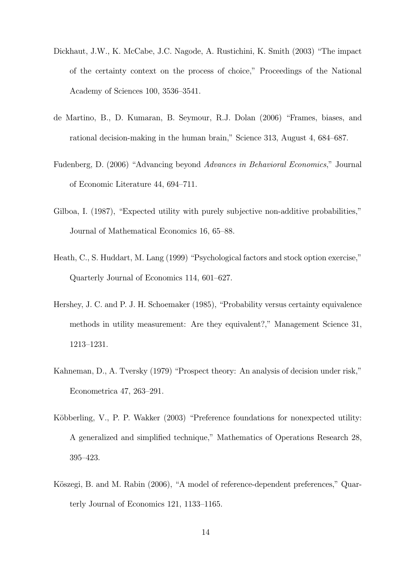- Dickhaut, J.W., K. McCabe, J.C. Nagode, A. Rustichini, K. Smith (2003) "The impact of the certainty context on the process of choice," Proceedings of the National Academy of Sciences 100, 3536—3541.
- de Martino, B., D. Kumaran, B. Seymour, R.J. Dolan (2006) "Frames, biases, and rational decision-making in the human brain," Science 313, August 4, 684—687.
- Fudenberg, D. (2006) "Advancing beyond Advances in Behavioral Economics," Journal of Economic Literature 44, 694—711.
- Gilboa, I. (1987), "Expected utility with purely subjective non-additive probabilities," Journal of Mathematical Economics 16, 65—88.
- Heath, C., S. Huddart, M. Lang (1999) "Psychological factors and stock option exercise," Quarterly Journal of Economics 114, 601—627.
- Hershey, J. C. and P. J. H. Schoemaker (1985), "Probability versus certainty equivalence methods in utility measurement: Are they equivalent?," Management Science 31, 1213—1231.
- Kahneman, D., A. Tversky (1979) "Prospect theory: An analysis of decision under risk," Econometrica 47, 263—291.
- Köbberling, V., P. P. Wakker (2003) "Preference foundations for nonexpected utility: A generalized and simplified technique," Mathematics of Operations Research 28, 395—423.
- Köszegi, B. and M. Rabin (2006), "A model of reference-dependent preferences," Quarterly Journal of Economics 121, 1133—1165.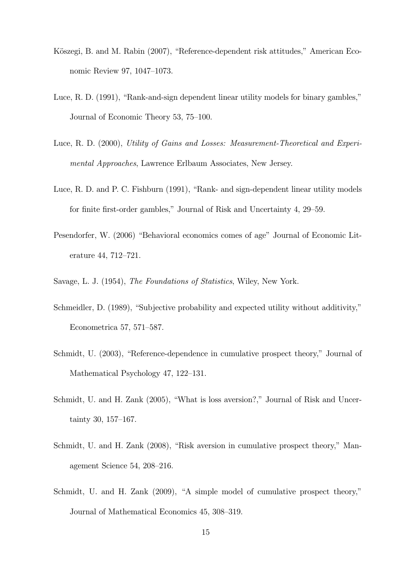- Köszegi, B. and M. Rabin (2007), "Reference-dependent risk attitudes," American Economic Review 97, 1047—1073.
- Luce, R. D. (1991), "Rank-and-sign dependent linear utility models for binary gambles," Journal of Economic Theory 53, 75—100.
- Luce, R. D. (2000), Utility of Gains and Losses: Measurement-Theoretical and Experimental Approaches, Lawrence Erlbaum Associates, New Jersey.
- Luce, R. D. and P. C. Fishburn (1991), "Rank- and sign-dependent linear utility models for finite first-order gambles," Journal of Risk and Uncertainty 4, 29—59.
- Pesendorfer, W. (2006) "Behavioral economics comes of age" Journal of Economic Literature 44, 712—721.
- Savage, L. J. (1954), The Foundations of Statistics, Wiley, New York.
- Schmeidler, D. (1989), "Subjective probability and expected utility without additivity," Econometrica 57, 571—587.
- Schmidt, U. (2003), "Reference-dependence in cumulative prospect theory," Journal of Mathematical Psychology 47, 122—131.
- Schmidt, U. and H. Zank (2005), "What is loss aversion?," Journal of Risk and Uncertainty 30, 157—167.
- Schmidt, U. and H. Zank (2008), "Risk aversion in cumulative prospect theory," Management Science 54, 208—216.
- Schmidt, U. and H. Zank (2009), "A simple model of cumulative prospect theory," Journal of Mathematical Economics 45, 308—319.